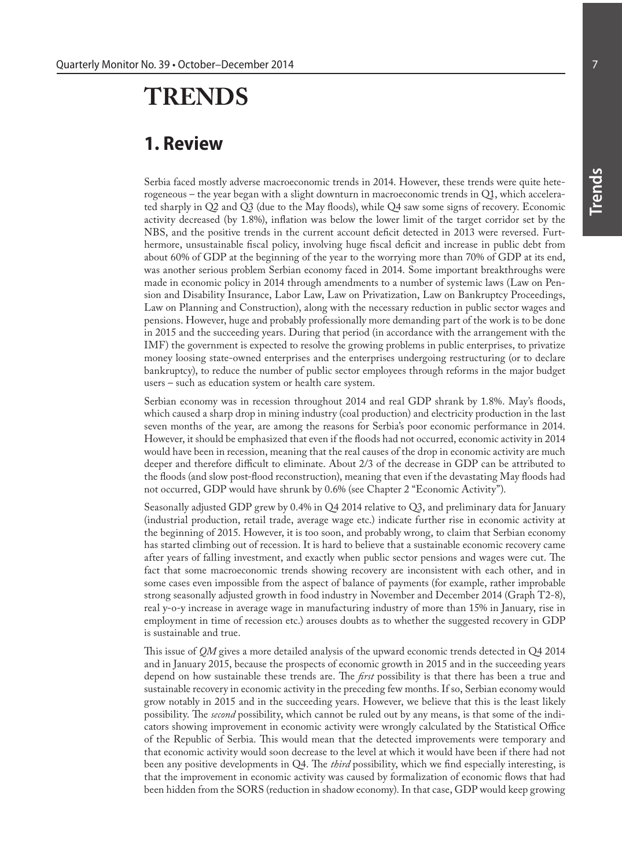## **TRENDS**

## **1. Review**

Serbia faced mostly adverse macroeconomic trends in 2014. However, these trends were quite heterogeneous – the year began with a slight downturn in macroeconomic trends in Q1, which accelerated sharply in Q2 and Q3 (due to the May floods), while Q4 saw some signs of recovery. Economic activity decreased (by 1.8%), inflation was below the lower limit of the target corridor set by the NBS, and the positive trends in the current account deficit detected in 2013 were reversed. Furthermore, unsustainable fiscal policy, involving huge fiscal deficit and increase in public debt from about 60% of GDP at the beginning of the year to the worrying more than 70% of GDP at its end, was another serious problem Serbian economy faced in 2014. Some important breakthroughs were made in economic policy in 2014 through amendments to a number of systemic laws (Law on Pension and Disability Insurance, Labor Law, Law on Privatization, Law on Bankruptcy Proceedings, Law on Planning and Construction), along with the necessary reduction in public sector wages and pensions. However, huge and probably professionally more demanding part of the work is to be done in 2015 and the succeeding years. During that period (in accordance with the arrangement with the IMF) the government is expected to resolve the growing problems in public enterprises, to privatize money loosing state-owned enterprises and the enterprises undergoing restructuring (or to declare bankruptcy), to reduce the number of public sector employees through reforms in the major budget users – such as education system or health care system.

Serbian economy was in recession throughout 2014 and real GDP shrank by 1.8%. May's floods, which caused a sharp drop in mining industry (coal production) and electricity production in the last seven months of the year, are among the reasons for Serbia's poor economic performance in 2014. However, it should be emphasized that even if the floods had not occurred, economic activity in 2014 would have been in recession, meaning that the real causes of the drop in economic activity are much deeper and therefore difficult to eliminate. About 2/3 of the decrease in GDP can be attributed to the floods (and slow post-flood reconstruction), meaning that even if the devastating May floods had not occurred, GDP would have shrunk by 0.6% (see Chapter 2 "Economic Activity").

Seasonally adjusted GDP grew by 0.4% in Q4 2014 relative to Q3, and preliminary data for January (industrial production, retail trade, average wage etc.) indicate further rise in economic activity at the beginning of 2015. However, it is too soon, and probably wrong, to claim that Serbian economy has started climbing out of recession. It is hard to believe that a sustainable economic recovery came after years of falling investment, and exactly when public sector pensions and wages were cut. The fact that some macroeconomic trends showing recovery are inconsistent with each other, and in some cases even impossible from the aspect of balance of payments (for example, rather improbable strong seasonally adjusted growth in food industry in November and December 2014 (Graph T2-8), real y-o-y increase in average wage in manufacturing industry of more than 15% in January, rise in employment in time of recession etc.) arouses doubts as to whether the suggested recovery in GDP is sustainable and true.

This issue of *QM* gives a more detailed analysis of the upward economic trends detected in Q4 2014 and in January 2015, because the prospects of economic growth in 2015 and in the succeeding years depend on how sustainable these trends are. The *first* possibility is that there has been a true and sustainable recovery in economic activity in the preceding few months. If so, Serbian economy would grow notably in 2015 and in the succeeding years. However, we believe that this is the least likely possibility. The *second* possibility, which cannot be ruled out by any means, is that some of the indicators showing improvement in economic activity were wrongly calculated by the Statistical Office of the Republic of Serbia. This would mean that the detected improvements were temporary and that economic activity would soon decrease to the level at which it would have been if there had not been any positive developments in Q4. The *third* possibility, which we find especially interesting, is that the improvement in economic activity was caused by formalization of economic flows that had been hidden from the SORS (reduction in shadow economy). In that case, GDP would keep growing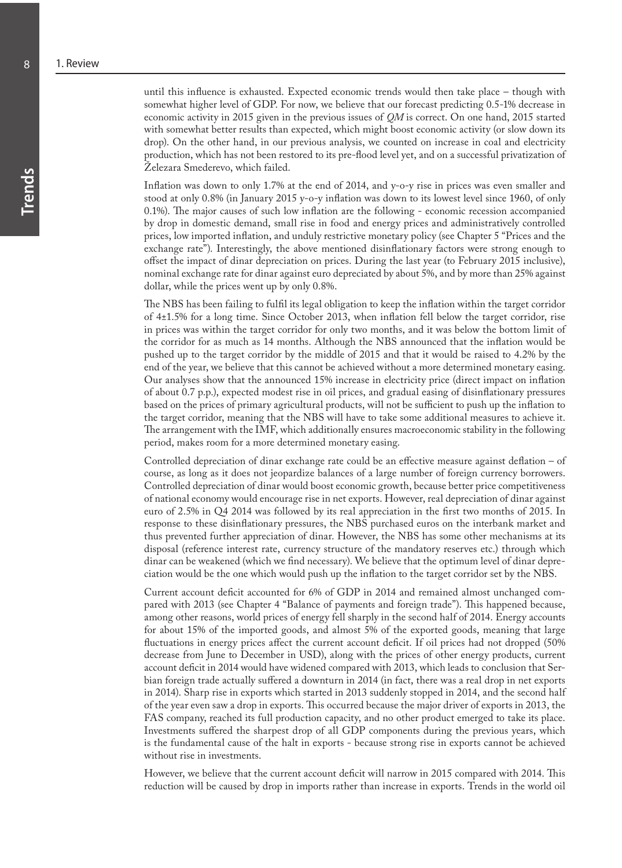until this influence is exhausted. Expected economic trends would then take place – though with somewhat higher level of GDP. For now, we believe that our forecast predicting 0.5-1% decrease in economic activity in 2015 given in the previous issues of *QM* is correct. On one hand, 2015 started with somewhat better results than expected, which might boost economic activity (or slow down its drop). On the other hand, in our previous analysis, we counted on increase in coal and electricity production, which has not been restored to its pre-flood level yet, and on a successful privatization of Železara Smederevo, which failed.

Inflation was down to only 1.7% at the end of 2014, and y-o-y rise in prices was even smaller and stood at only 0.8% (in January 2015 y-o-y inflation was down to its lowest level since 1960, of only 0.1%). The major causes of such low inflation are the following - economic recession accompanied by drop in domestic demand, small rise in food and energy prices and administratively controlled prices, low imported inflation, and unduly restrictive monetary policy (see Chapter 5 "Prices and the exchange rate"). Interestingly, the above mentioned disinflationary factors were strong enough to offset the impact of dinar depreciation on prices. During the last year (to February 2015 inclusive), nominal exchange rate for dinar against euro depreciated by about 5%, and by more than 25% against dollar, while the prices went up by only 0.8%.

The NBS has been failing to fulfil its legal obligation to keep the inflation within the target corridor of 4±1.5% for a long time. Since October 2013, when inflation fell below the target corridor, rise in prices was within the target corridor for only two months, and it was below the bottom limit of the corridor for as much as 14 months. Although the NBS announced that the inflation would be pushed up to the target corridor by the middle of 2015 and that it would be raised to 4.2% by the end of the year, we believe that this cannot be achieved without a more determined monetary easing. Our analyses show that the announced 15% increase in electricity price (direct impact on inflation of about 0.7 p.p.), expected modest rise in oil prices, and gradual easing of disinflationary pressures based on the prices of primary agricultural products, will not be sufficient to push up the inflation to the target corridor, meaning that the NBS will have to take some additional measures to achieve it. The arrangement with the IMF, which additionally ensures macroeconomic stability in the following period, makes room for a more determined monetary easing.

Controlled depreciation of dinar exchange rate could be an effective measure against deflation – of course, as long as it does not jeopardize balances of a large number of foreign currency borrowers. Controlled depreciation of dinar would boost economic growth, because better price competitiveness of national economy would encourage rise in net exports. However, real depreciation of dinar against euro of 2.5% in Q4 2014 was followed by its real appreciation in the first two months of 2015. In response to these disinflationary pressures, the NBS purchased euros on the interbank market and thus prevented further appreciation of dinar. However, the NBS has some other mechanisms at its disposal (reference interest rate, currency structure of the mandatory reserves etc.) through which dinar can be weakened (which we find necessary). We believe that the optimum level of dinar depreciation would be the one which would push up the inflation to the target corridor set by the NBS.

Current account deficit accounted for 6% of GDP in 2014 and remained almost unchanged compared with 2013 (see Chapter 4 "Balance of payments and foreign trade"). This happened because, among other reasons, world prices of energy fell sharply in the second half of 2014. Energy accounts for about 15% of the imported goods, and almost 5% of the exported goods, meaning that large fluctuations in energy prices affect the current account deficit. If oil prices had not dropped (50% decrease from June to December in USD), along with the prices of other energy products, current account deficit in 2014 would have widened compared with 2013, which leads to conclusion that Serbian foreign trade actually suffered a downturn in 2014 (in fact, there was a real drop in net exports in 2014). Sharp rise in exports which started in 2013 suddenly stopped in 2014, and the second half of the year even saw a drop in exports. This occurred because the major driver of exports in 2013, the FAS company, reached its full production capacity, and no other product emerged to take its place. Investments suffered the sharpest drop of all GDP components during the previous years, which is the fundamental cause of the halt in exports - because strong rise in exports cannot be achieved without rise in investments.

However, we believe that the current account deficit will narrow in 2015 compared with 2014. This reduction will be caused by drop in imports rather than increase in exports. Trends in the world oil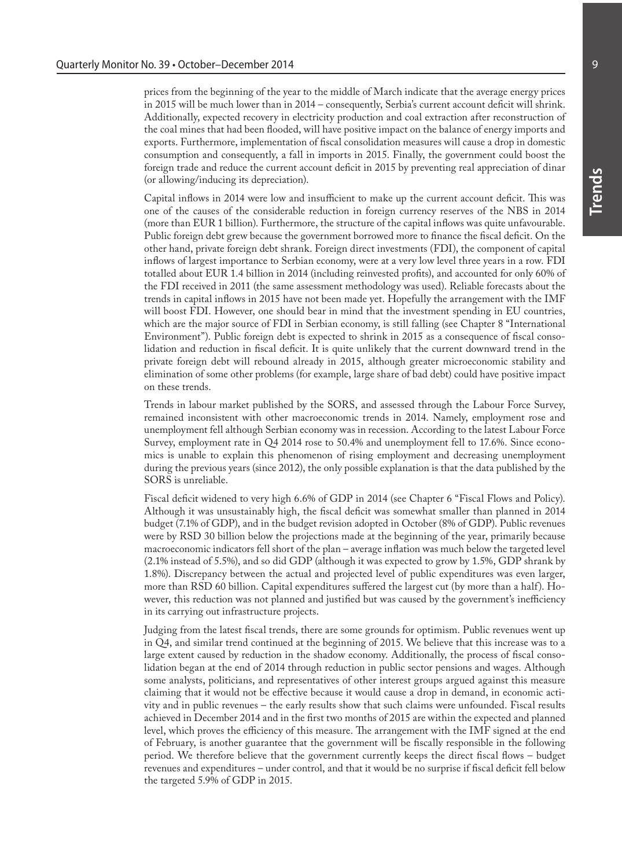**Trends**

prices from the beginning of the year to the middle of March indicate that the average energy prices in 2015 will be much lower than in 2014 – consequently, Serbia's current account deficit will shrink. Additionally, expected recovery in electricity production and coal extraction after reconstruction of the coal mines that had been flooded, will have positive impact on the balance of energy imports and exports. Furthermore, implementation of fiscal consolidation measures will cause a drop in domestic consumption and consequently, a fall in imports in 2015. Finally, the government could boost the foreign trade and reduce the current account deficit in 2015 by preventing real appreciation of dinar (or allowing/inducing its depreciation).

Capital inflows in 2014 were low and insufficient to make up the current account deficit. This was one of the causes of the considerable reduction in foreign currency reserves of the NBS in 2014 (more than EUR 1 billion). Furthermore, the structure of the capital inflows was quite unfavourable. Public foreign debt grew because the government borrowed more to finance the fiscal deficit. On the other hand, private foreign debt shrank. Foreign direct investments (FDI), the component of capital inflows of largest importance to Serbian economy, were at a very low level three years in a row. FDI totalled about EUR 1.4 billion in 2014 (including reinvested profits), and accounted for only 60% of the FDI received in 2011 (the same assessment methodology was used). Reliable forecasts about the trends in capital inflows in 2015 have not been made yet. Hopefully the arrangement with the IMF will boost FDI. However, one should bear in mind that the investment spending in EU countries, which are the major source of FDI in Serbian economy, is still falling (see Chapter 8 "International Environment"). Public foreign debt is expected to shrink in 2015 as a consequence of fiscal consolidation and reduction in fiscal deficit. It is quite unlikely that the current downward trend in the private foreign debt will rebound already in 2015, although greater microeconomic stability and elimination of some other problems (for example, large share of bad debt) could have positive impact on these trends.

Trends in labour market published by the SORS, and assessed through the Labour Force Survey, remained inconsistent with other macroeconomic trends in 2014. Namely, employment rose and unemployment fell although Serbian economy was in recession. According to the latest Labour Force Survey, employment rate in Q4 2014 rose to 50.4% and unemployment fell to 17.6%. Since economics is unable to explain this phenomenon of rising employment and decreasing unemployment during the previous years (since 2012), the only possible explanation is that the data published by the SORS is unreliable.

Fiscal deficit widened to very high 6.6% of GDP in 2014 (see Chapter 6 "Fiscal Flows and Policy). Although it was unsustainably high, the fiscal deficit was somewhat smaller than planned in 2014 budget (7.1% of GDP), and in the budget revision adopted in October (8% of GDP). Public revenues were by RSD 30 billion below the projections made at the beginning of the year, primarily because macroeconomic indicators fell short of the plan – average inflation was much below the targeted level (2.1% instead of 5.5%), and so did GDP (although it was expected to grow by 1.5%, GDP shrank by 1.8%). Discrepancy between the actual and projected level of public expenditures was even larger, more than RSD 60 billion. Capital expenditures suffered the largest cut (by more than a half). However, this reduction was not planned and justified but was caused by the government's inefficiency in its carrying out infrastructure projects.

Judging from the latest fiscal trends, there are some grounds for optimism. Public revenues went up in Q4, and similar trend continued at the beginning of 2015. We believe that this increase was to a large extent caused by reduction in the shadow economy. Additionally, the process of fiscal consolidation began at the end of 2014 through reduction in public sector pensions and wages. Although some analysts, politicians, and representatives of other interest groups argued against this measure claiming that it would not be effective because it would cause a drop in demand, in economic activity and in public revenues – the early results show that such claims were unfounded. Fiscal results achieved in December 2014 and in the first two months of 2015 are within the expected and planned level, which proves the efficiency of this measure. The arrangement with the IMF signed at the end of February, is another guarantee that the government will be fiscally responsible in the following period. We therefore believe that the government currently keeps the direct fiscal flows – budget revenues and expenditures – under control, and that it would be no surprise if fiscal deficit fell below the targeted 5.9% of GDP in 2015.